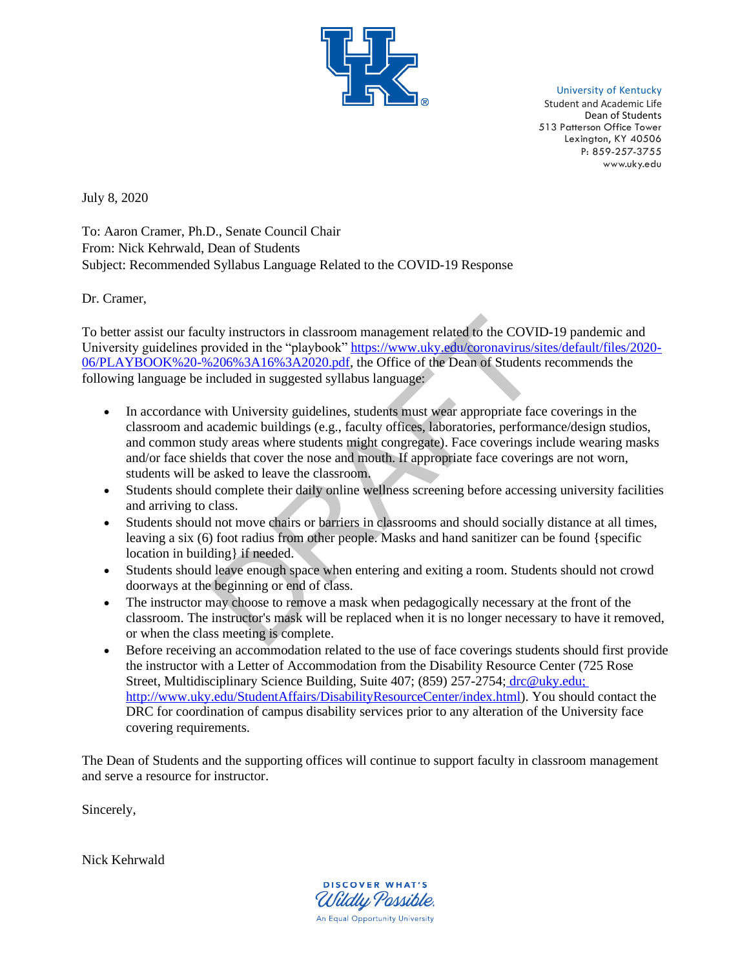

University of Kentucky

Student and Academic Life Dean of Students 513 Patterson Office Tower Lexington, KY 40506 P: 859-257-3755 www.uky.edu

July 8, 2020

To: Aaron Cramer, Ph.D., Senate Council Chair From: Nick Kehrwald, Dean of Students Subject: Recommended Syllabus Language Related to the COVID-19 Response

Dr. Cramer,

To better assist our faculty instructors in classroom management related to the COVID-19 pandemic and University guidelines provided in the "playbook" [https://www.uky.edu/coronavirus/sites/default/files/2020-](https://www.uky.edu/coronavirus/sites/default/files/2020-06/PLAYBOOK%20-%206%3A16%3A2020.pdf) [06/PLAYBOOK%20-%206%3A16%3A2020.pdf,](https://www.uky.edu/coronavirus/sites/default/files/2020-06/PLAYBOOK%20-%206%3A16%3A2020.pdf) the Office of the Dean of Students recommends the following language be included in suggested syllabus language:

- In accordance with University guidelines, students must wear appropriate face coverings in the classroom and academic buildings (e.g., faculty offices, laboratories, performance/design studios, and common study areas where students might congregate). Face coverings include wearing masks and/or face shields that cover the nose and mouth. If appropriate face coverings are not worn, students will be asked to leave the classroom. nlty instructors in classroom management related to the COVII<br>rovided in the "playbook" <u>https://www.uky.edu/coronavirus/si</u><br>sizolo%3A16%3A2020.pdf, the Office of the Dean of Students<br>ncluded in suggested syllabus language
- Students should complete their daily online wellness screening before accessing university facilities and arriving to class.
- Students should not move chairs or barriers in classrooms and should socially distance at all times, leaving a six (6) foot radius from other people. Masks and hand sanitizer can be found {specific location in building} if needed.
- Students should leave enough space when entering and exiting a room. Students should not crowd doorways at the beginning or end of class.
- The instructor may choose to remove a mask when pedagogically necessary at the front of the classroom. The instructor's mask will be replaced when it is no longer necessary to have it removed, or when the class meeting is complete.
- Before receiving an accommodation related to the use of face coverings students should first provide the instructor with a Letter of Accommodation from the Disability Resource Center (725 Rose Street, Multidisciplinary Science Building, Suite 407; (859) 257-2754[;](http://www.uky.edu/StudentAffairs/DisabilityResourceCenter/index.html) [drc@uky.edu](mailto:drc@uky.edu)[;](http://www.uky.edu/StudentAffairs/DisabilityResourceCenter/index.html) [http://www.uky.edu/StudentAffairs/DisabilityResourceCenter/index.html\)](http://www.uky.edu/StudentAffairs/DisabilityResourceCenter/index.html). You should contact the DRC for coordination of campus disability services prior to any alteration of the University face covering requirements.

The Dean of Students and the supporting offices will continue to support faculty in classroom management and serve a resource for instructor.

Sincerely,

Nick Kehrwald